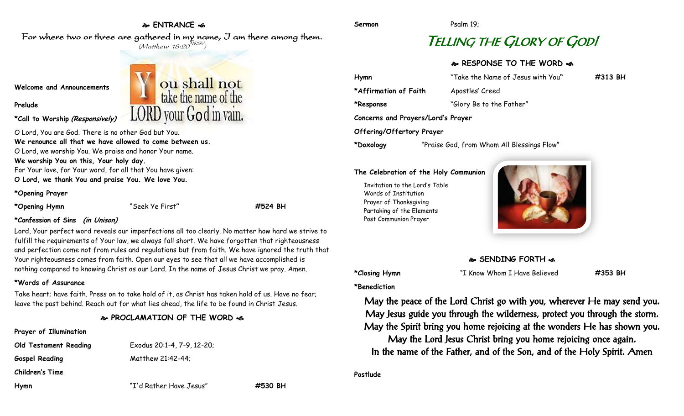# **ENTRANCE**

For where two or three are gathered in my name, I am there among them.  $(M$ atthew 18:20 $^{NRSV})$ 

ou shall not<br>take the name of the

**LORD** vour God in vain.

### **Welcome and Announcements**

**Prelude**

**\*Call to Worship (Responsively)**

O Lord, You are God. There is no other God but You.

**We renounce all that we have allowed to come between us.**

O Lord, we worship You. We praise and honor Your name. **We worship You on this, Your holy day.**

For Your love, for Your word, for all that You have given: **O Lord, we thank You and praise You. We love You.**

### **\*Opening Prayer**

**\*Opening Hymn** "Seek Ye First**" #524 BH**

## **\*Confession of Sins (in Unison)**

Lord, Your perfect word reveals our imperfections all too clearly. No matter how hard we strive to fulfill the requirements of Your law, we always fall short. We have forgotten that righteousness and perfection come not from rules and regulations but from faith. We have ignored the truth that Your righteousness comes from faith. Open our eyes to see that all we have accomplished is nothing compared to knowing Christ as our Lord. In the name of Jesus Christ we pray. Amen.

### **\*Words of Assurance**

Take heart; have faith. Press on to take hold of it, as Christ has taken hold of us. Have no fear; leave the past behind. Reach out for what lies ahead, the life to be found in Christ Jesus.

# **PROCLAMATION OF THE WORD**

| Prayer of Illumination |                            |
|------------------------|----------------------------|
| Old Testament Reading  | Exodus 20:1-4, 7-9, 12-20; |

Gospel Reading Matthew 21:42-44;

**Children's Time**

**Hymn** "I'd Rather Have Jesus" **#530 BH**

# TELLING THE GLORY OF GOD!

# **RESPONSE TO THE WORD**

| Hymn                      | "Take the Name of Jesus with You"          | #313 BH |
|---------------------------|--------------------------------------------|---------|
| *Affirmation of Faith     | Apostles' Creed                            |         |
| *Response                 | "Glory Be to the Father"                   |         |
|                           | Concerns and Prayers/Lord's Prayer         |         |
| Offering/Offertory Prayer |                                            |         |
| *Doxology                 | "Praise God, from Whom All Blessings Flow" |         |

### **The Celebration of the Holy Communion**

Invitation to the Lord's Table Words of Institution Prayer of Thanksgiving Partaking of the Elements Post Communion Prayer



# **SENDING FORTH**  $\clubsuit$

**\*Closing Hymn** "I Know Whom I Have Believed **#353 BH**

**\*Benediction**

May the peace of the Lord Christ go with you, wherever He may send you. May Jesus guide you through the wilderness, protect you through the storm. May the Spirit bring you home rejoicing at the wonders He has shown you. May the Lord Jesus Christ bring you home rejoicing once again. In the name of the Father, and of the Son, and of the Holy Spirit. Amen

**Postlude**